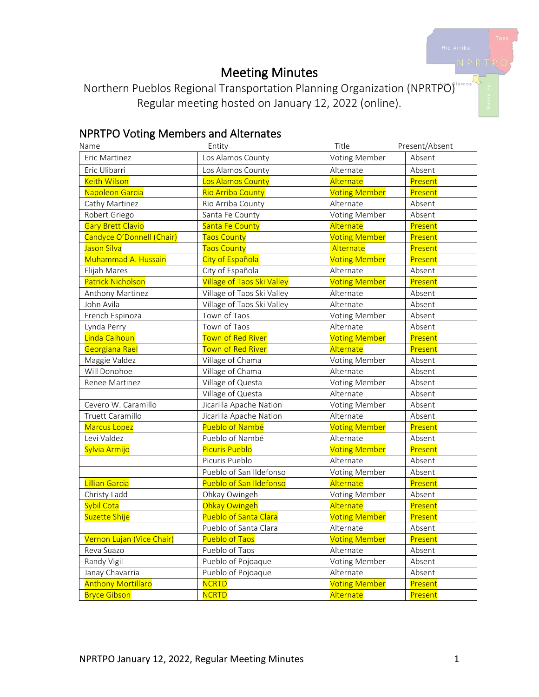# Meeting Minutes

Northern Pueblos Regional Transportation Planning Organization (NPRTPO) Regular meeting hosted on January 12, 2022 (online).

# NPRTPO Voting Members and Alternates

| Name                      | Entity                            | Title                | Present/Absent |
|---------------------------|-----------------------------------|----------------------|----------------|
| Eric Martinez             | Los Alamos County                 | Voting Member        | Absent         |
| Eric Ulibarri             | Los Alamos County                 | Alternate            | Absent         |
| <b>Keith Wilson</b>       | Los Alamos County                 | Alternate            | Present        |
| Napoleon Garcia           | Rio Arriba County                 | <b>Voting Member</b> | Present        |
| Cathy Martinez            | Rio Arriba County                 | Alternate            | Absent         |
| Robert Griego             | Santa Fe County                   | Voting Member        | Absent         |
| <b>Gary Brett Clavio</b>  | Santa Fe County                   | Alternate            | Present        |
| Candyce O'Donnell (Chair) | <b>Taos County</b>                | <b>Voting Member</b> | Present        |
| Jason Silva               | <b>Taos County</b>                | Alternate            | Present        |
| Muhammad A. Hussain       | City of Española                  | <b>Voting Member</b> | Present        |
| Elijah Mares              | City of Española                  | Alternate            | Absent         |
| <b>Patrick Nicholson</b>  | <b>Village of Taos Ski Valley</b> | <b>Voting Member</b> | Present        |
| Anthony Martinez          | Village of Taos Ski Valley        | Alternate            | Absent         |
| John Avila                | Village of Taos Ski Valley        | Alternate            | Absent         |
| French Espinoza           | Town of Taos                      | Voting Member        | Absent         |
| Lynda Perry               | Town of Taos                      | Alternate            | Absent         |
| Linda Calhoun             | Town of Red River                 | <b>Voting Member</b> | Present        |
| Georgiana Rael            | Town of Red River                 | Alternate            | Present        |
| Maggie Valdez             | Village of Chama                  | Voting Member        | Absent         |
| Will Donohoe              | Village of Chama                  | Alternate            | Absent         |
| Renee Martinez            | Village of Questa                 | <b>Voting Member</b> | Absent         |
|                           | Village of Questa                 | Alternate            | Absent         |
| Cevero W. Caramillo       | Jicarilla Apache Nation           | Voting Member        | Absent         |
| Truett Caramillo          | Jicarilla Apache Nation           | Alternate            | Absent         |
| <b>Marcus Lopez</b>       | Pueblo of Nambé                   | <b>Voting Member</b> | Present        |
| Levi Valdez               | Pueblo of Nambé                   | Alternate            | Absent         |
| Sylvia Armijo             | <b>Picuris Pueblo</b>             | <b>Voting Member</b> | Present        |
|                           | Picuris Pueblo                    | Alternate            | Absent         |
|                           | Pueblo of San Ildefonso           | Voting Member        | Absent         |
| Lillian Garcia            | Pueblo of San Ildefonso           | Alternate            | Present        |
| Christy Ladd              | Ohkay Owingeh                     | Voting Member        | Absent         |
| Sybil Cota                | Ohkay Owingeh                     | Alternate            | Present        |
| Suzette Shije             | Pueblo of Santa Clara             | <b>Voting Member</b> | Present        |
|                           | Pueblo of Santa Clara             | Alternate            | Absent         |
| Vernon Lujan (Vice Chair) | <b>Pueblo of Taos</b>             | <b>Voting Member</b> | Present        |
| Reva Suazo                | Pueblo of Taos                    | Alternate            | Absent         |
| Randy Vigil               | Pueblo of Pojoaque                | Voting Member        | Absent         |
| Janay Chavarria           | Pueblo of Pojoaque                | Alternate            | Absent         |
| <b>Anthony Mortillaro</b> | <b>NCRTD</b>                      | <b>Voting Member</b> | Present        |
| <b>Bryce Gibson</b>       | <b>NCRTD</b>                      | Alternate            | Present        |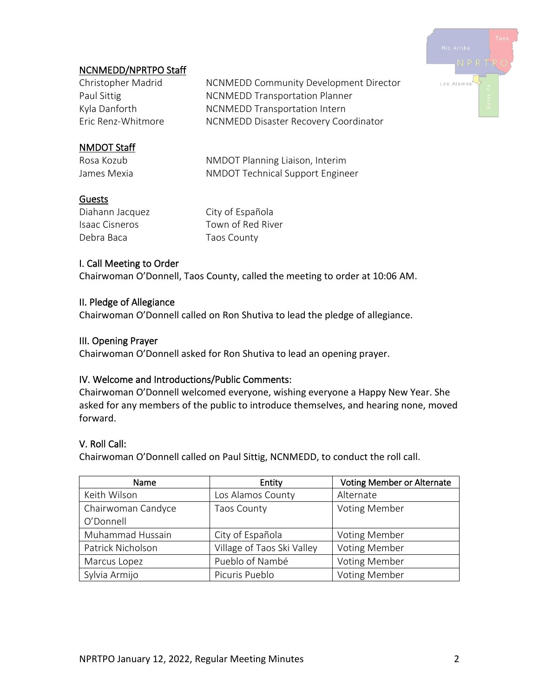

## NCNMEDD/NPRTPO Staff

Christopher Madrid NCNMEDD Community Development Director Paul Sittig **NUMEDD** Transportation Planner Kyla Danforth NCNMEDD Transportation Intern Eric Renz-Whitmore NCNMEDD Disaster Recovery Coordinator

## NMDOT Staff

Rosa Kozub **NMDOT** Planning Liaison, Interim James Mexia **NMDOT** Technical Support Engineer

#### Guests

Diahann Jacquez City of Española Debra Baca Taos County

Isaac Cisneros Town of Red River

#### I. Call Meeting to Order

Chairwoman O'Donnell, Taos County, called the meeting to order at 10:06 AM.

#### II. Pledge of Allegiance

Chairwoman O'Donnell called on Ron Shutiva to lead the pledge of allegiance.

#### III. Opening Prayer

Chairwoman O'Donnell asked for Ron Shutiva to lead an opening prayer.

#### IV. Welcome and Introductions/Public Comments:

Chairwoman O'Donnell welcomed everyone, wishing everyone a Happy New Year. She asked for any members of the public to introduce themselves, and hearing none, moved forward.

#### V. Roll Call:

Chairwoman O'Donnell called on Paul Sittig, NCNMEDD, to conduct the roll call.

| Name               | Entity                     | Voting Member or Alternate |
|--------------------|----------------------------|----------------------------|
| Keith Wilson       | Los Alamos County          | Alternate                  |
| Chairwoman Candyce | <b>Taos County</b>         | <b>Voting Member</b>       |
| O'Donnell          |                            |                            |
| Muhammad Hussain   | City of Española           | <b>Voting Member</b>       |
| Patrick Nicholson  | Village of Taos Ski Valley | <b>Voting Member</b>       |
| Marcus Lopez       | Pueblo of Nambé            | <b>Voting Member</b>       |
| Sylvia Armijo      | Picuris Pueblo             | <b>Voting Member</b>       |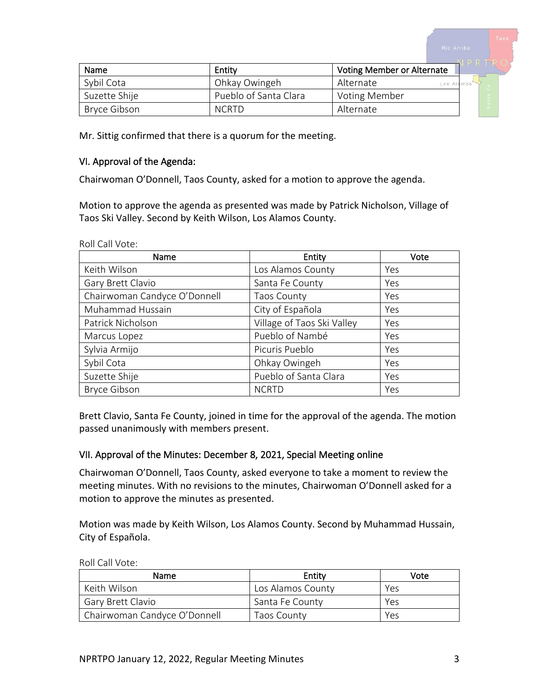| Name          |                       | <b>Voting Member or Alternate</b> |  |
|---------------|-----------------------|-----------------------------------|--|
|               | Entity                |                                   |  |
| Sybil Cota    | Ohkay Owingeh         | Alternate<br>Los Alamos           |  |
| Suzette Shije | Pueblo of Santa Clara | Voting Member                     |  |
| Bryce Gibson  | <b>NCRTD</b>          | Alternate                         |  |

Mr. Sittig confirmed that there is a quorum for the meeting.

#### VI. Approval of the Agenda:

Chairwoman O'Donnell, Taos County, asked for a motion to approve the agenda.

Motion to approve the agenda as presented was made by Patrick Nicholson, Village of Taos Ski Valley. Second by Keith Wilson, Los Alamos County.

Roll Call Vote:

| Name                         | Entity                     | Vote |
|------------------------------|----------------------------|------|
| Keith Wilson                 | Los Alamos County          | Yes  |
| Gary Brett Clavio            | Santa Fe County            | Yes  |
| Chairwoman Candyce O'Donnell | <b>Taos County</b>         | Yes  |
| Muhammad Hussain             | City of Española           | Yes  |
| Patrick Nicholson            | Village of Taos Ski Valley | Yes  |
| Marcus Lopez                 | Pueblo of Nambé            | Yes  |
| Sylvia Armijo                | Picuris Pueblo             | Yes  |
| Sybil Cota                   | Ohkay Owingeh              | Yes  |
| Suzette Shije                | Pueblo of Santa Clara      | Yes  |
| <b>Bryce Gibson</b>          | <b>NCRTD</b>               | Yes  |

Brett Clavio, Santa Fe County, joined in time for the approval of the agenda. The motion passed unanimously with members present.

#### VII. Approval of the Minutes: December 8, 2021, Special Meeting online

Chairwoman O'Donnell, Taos County, asked everyone to take a moment to review the meeting minutes. With no revisions to the minutes, Chairwoman O'Donnell asked for a motion to approve the minutes as presented.

Motion was made by Keith Wilson, Los Alamos County. Second by Muhammad Hussain, City of Española.

| Name                         | Entity            | Vote |
|------------------------------|-------------------|------|
| Keith Wilson                 | Los Alamos County | Yes  |
| <b>Gary Brett Clavio</b>     | Santa Fe County   | Yes  |
| Chairwoman Candyce O'Donnell | Taos County       | Yes  |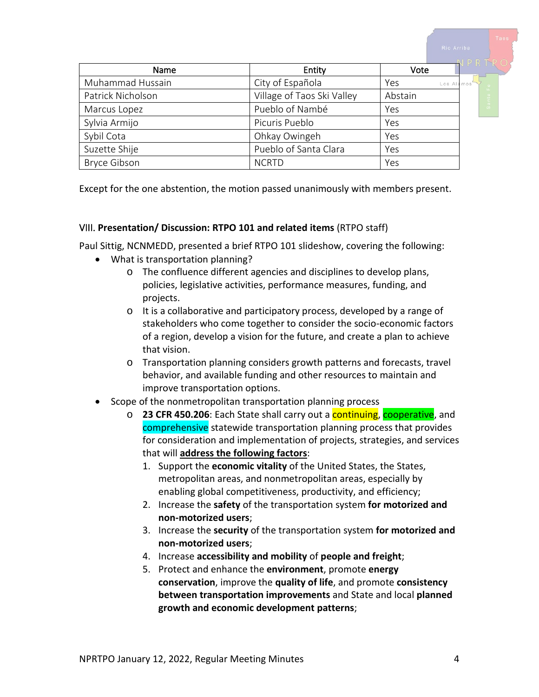Name Entity Vote Muhammad Hussain **City of Española** Yes Los A Patrick Nicholson **Village of Taos Ski Valley** Abstain Marcus Lopez  $\vert$  Pueblo of Nambé  $\vert$  Yes Sylvia Armijo Picuris Pueblo Yes Sybil Cota **Communist Construction** Ohkay Owingeh Yes Suzette Shije **Pueblo of Santa Clara** Yes Bryce Gibson NGRTD NGRTD Yes

Except for the one abstention, the motion passed unanimously with members present.

#### VIII. **Presentation/ Discussion: RTPO 101 and related items** (RTPO staff)

Paul Sittig, NCNMEDD, presented a brief RTPO 101 slideshow, covering the following:

- What is transportation planning?
	- o The confluence different agencies and disciplines to develop plans, policies, legislative activities, performance measures, funding, and projects.
	- o It is a collaborative and participatory process, developed by a range of stakeholders who come together to consider the socio-economic factors of a region, develop a vision for the future, and create a plan to achieve that vision.
	- o Transportation planning considers growth patterns and forecasts, travel behavior, and available funding and other resources to maintain and improve transportation options.
- Scope of the nonmetropolitan transportation planning process
	- o **23 CFR 450.206**: Each State shall carry out a continuing, cooperative, and comprehensive statewide transportation planning process that provides for consideration and implementation of projects, strategies, and services that will **address the following factors**:
		- 1. Support the **economic vitality** of the United States, the States, metropolitan areas, and nonmetropolitan areas, especially by enabling global competitiveness, productivity, and efficiency;
		- 2. Increase the **safety** of the transportation system **for motorized and non-motorized users**;
		- 3. Increase the **security** of the transportation system **for motorized and non-motorized users**;
		- 4. Increase **accessibility and mobility** of **people and freight**;
		- 5. Protect and enhance the **environment**, promote **energy conservation**, improve the **quality of life**, and promote **consistency between transportation improvements** and State and local **planned growth and economic development patterns**;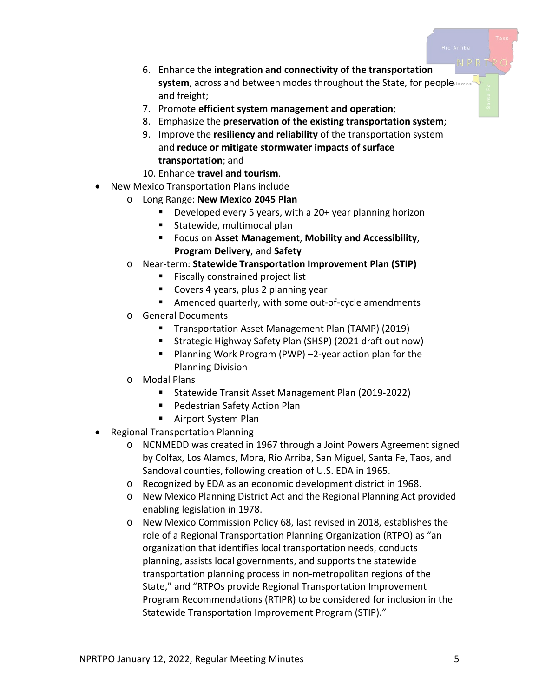- 6. Enhance the **integration and connectivity of the transportation system**, across and between modes throughout the State, for people and freight;
- 7. Promote **efficient system management and operation**;
- 8. Emphasize the **preservation of the existing transportation system**;
- 9. Improve the **resiliency and reliability** of the transportation system and **reduce or mitigate stormwater impacts of surface transportation**; and
- 10. Enhance **travel and tourism**.
- New Mexico Transportation Plans include
	- o Long Range: **New Mexico 2045 Plan**
		- Developed every 5 years, with a 20+ year planning horizon
		- Statewide, multimodal plan
		- Focus on **Asset Management**, **Mobility and Accessibility**, **Program Delivery**, and **Safety**
		- o Near-term: **Statewide Transportation Improvement Plan (STIP)**
			- **Fiscally constrained project list**
			- **Covers 4 years, plus 2 planning year**
			- Amended quarterly, with some out-of-cycle amendments
		- o General Documents
			- **Transportation Asset Management Plan (TAMP) (2019)**
			- Strategic Highway Safety Plan (SHSP) (2021 draft out now)
			- Planning Work Program (PWP) -2-year action plan for the Planning Division
		- o Modal Plans
			- Statewide Transit Asset Management Plan (2019-2022)
			- Pedestrian Safety Action Plan
			- Airport System Plan
- Regional Transportation Planning
	- o NCNMEDD was created in 1967 through a Joint Powers Agreement signed by Colfax, Los Alamos, Mora, Rio Arriba, San Miguel, Santa Fe, Taos, and Sandoval counties, following creation of U.S. EDA in 1965.
	- o Recognized by EDA as an economic development district in 1968.
	- o New Mexico Planning District Act and the Regional Planning Act provided enabling legislation in 1978.
	- o New Mexico Commission Policy 68, last revised in 2018, establishes the role of a Regional Transportation Planning Organization (RTPO) as "an organization that identifies local transportation needs, conducts planning, assists local governments, and supports the statewide transportation planning process in non-metropolitan regions of the State," and "RTPOs provide Regional Transportation Improvement Program Recommendations (RTIPR) to be considered for inclusion in the Statewide Transportation Improvement Program (STIP)."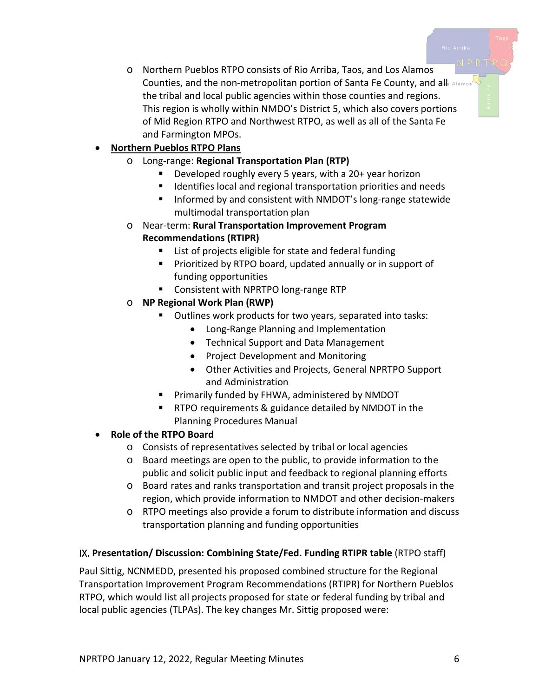o Northern Pueblos RTPO consists of Rio Arriba, Taos, and Los Alamos Counties, and the non-metropolitan portion of Santa Fe County, and all Alamos' the tribal and local public agencies within those counties and regions. This region is wholly within NMDO's District 5, which also covers portions of Mid Region RTPO and Northwest RTPO, as well as all of the Santa Fe and Farmington MPOs.

# • **Northern Pueblos RTPO Plans**

- o Long-range: **Regional Transportation Plan (RTP)**
	- Developed roughly every 5 years, with a 20+ year horizon
	- **If Identifies local and regional transportation priorities and needs**
	- Informed by and consistent with NMDOT's long-range statewide multimodal transportation plan
- o Near-term: **Rural Transportation Improvement Program Recommendations (RTIPR)**
	- List of projects eligible for state and federal funding
	- **Prioritized by RTPO board, updated annually or in support of** funding opportunities
	- **Consistent with NPRTPO long-range RTP**

## o **NP Regional Work Plan (RWP)**

- **Dutlines work products for two years, separated into tasks:** 
	- Long-Range Planning and Implementation
	- Technical Support and Data Management
	- Project Development and Monitoring
	- Other Activities and Projects, General NPRTPO Support and Administration
- **Primarily funded by FHWA, administered by NMDOT**
- RTPO requirements & guidance detailed by NMDOT in the Planning Procedures Manual

## • **Role of the RTPO Board**

- o Consists of representatives selected by tribal or local agencies
- o Board meetings are open to the public, to provide information to the public and solicit public input and feedback to regional planning efforts
- o Board rates and ranks transportation and transit project proposals in the region, which provide information to NMDOT and other decision-makers
- o RTPO meetings also provide a forum to distribute information and discuss transportation planning and funding opportunities

#### IX. **Presentation/ Discussion: Combining State/Fed. Funding RTIPR table** (RTPO staff)

Paul Sittig, NCNMEDD, presented his proposed combined structure for the Regional Transportation Improvement Program Recommendations (RTIPR) for Northern Pueblos RTPO, which would list all projects proposed for state or federal funding by tribal and local public agencies (TLPAs). The key changes Mr. Sittig proposed were: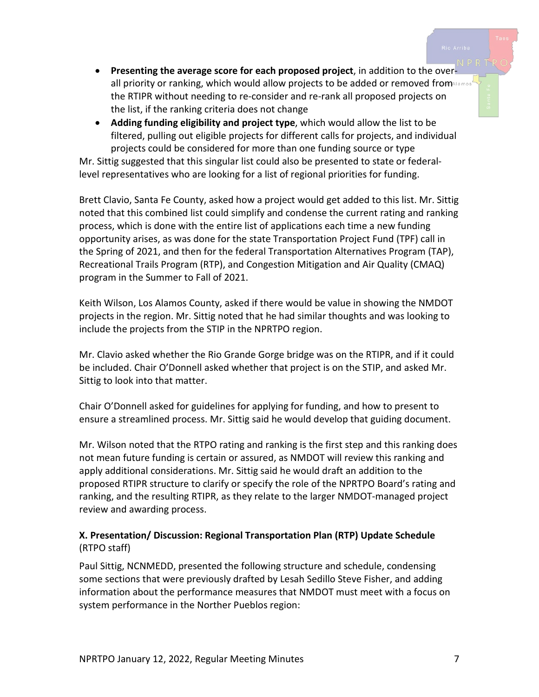- **Presenting the average score for each proposed project**, in addition to the overall priority or ranking, which would allow projects to be added or removed fromMARD or the RTIPR without needing to re-consider and re-rank all proposed projects on the list, if the ranking criteria does not change
- **Adding funding eligibility and project type**, which would allow the list to be filtered, pulling out eligible projects for different calls for projects, and individual projects could be considered for more than one funding source or type

Mr. Sittig suggested that this singular list could also be presented to state or federallevel representatives who are looking for a list of regional priorities for funding.

Brett Clavio, Santa Fe County, asked how a project would get added to this list. Mr. Sittig noted that this combined list could simplify and condense the current rating and ranking process, which is done with the entire list of applications each time a new funding opportunity arises, as was done for the state Transportation Project Fund (TPF) call in the Spring of 2021, and then for the federal Transportation Alternatives Program (TAP), Recreational Trails Program (RTP), and Congestion Mitigation and Air Quality (CMAQ) program in the Summer to Fall of 2021.

Keith Wilson, Los Alamos County, asked if there would be value in showing the NMDOT projects in the region. Mr. Sittig noted that he had similar thoughts and was looking to include the projects from the STIP in the NPRTPO region.

Mr. Clavio asked whether the Rio Grande Gorge bridge was on the RTIPR, and if it could be included. Chair O'Donnell asked whether that project is on the STIP, and asked Mr. Sittig to look into that matter.

Chair O'Donnell asked for guidelines for applying for funding, and how to present to ensure a streamlined process. Mr. Sittig said he would develop that guiding document.

Mr. Wilson noted that the RTPO rating and ranking is the first step and this ranking does not mean future funding is certain or assured, as NMDOT will review this ranking and apply additional considerations. Mr. Sittig said he would draft an addition to the proposed RTIPR structure to clarify or specify the role of the NPRTPO Board's rating and ranking, and the resulting RTIPR, as they relate to the larger NMDOT-managed project review and awarding process.

## **X. Presentation/ Discussion: Regional Transportation Plan (RTP) Update Schedule**  (RTPO staff)

Paul Sittig, NCNMEDD, presented the following structure and schedule, condensing some sections that were previously drafted by Lesah Sedillo Steve Fisher, and adding information about the performance measures that NMDOT must meet with a focus on system performance in the Norther Pueblos region: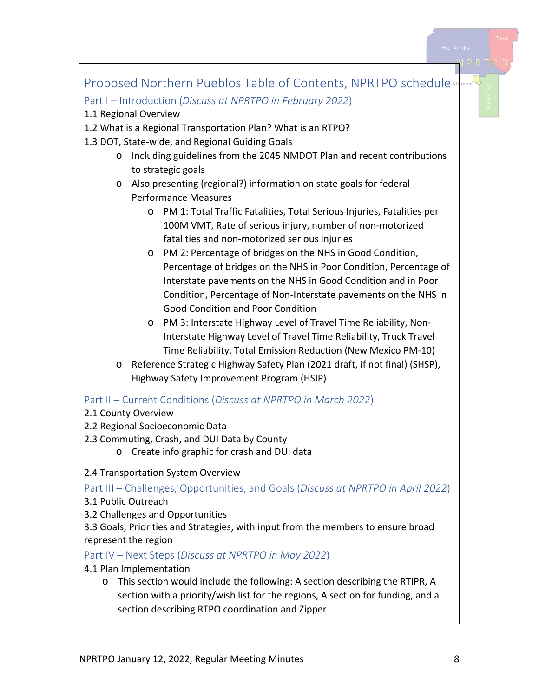

section with a priority/wish list for the regions, A section for funding, and a section describing RTPO coordination and Zipper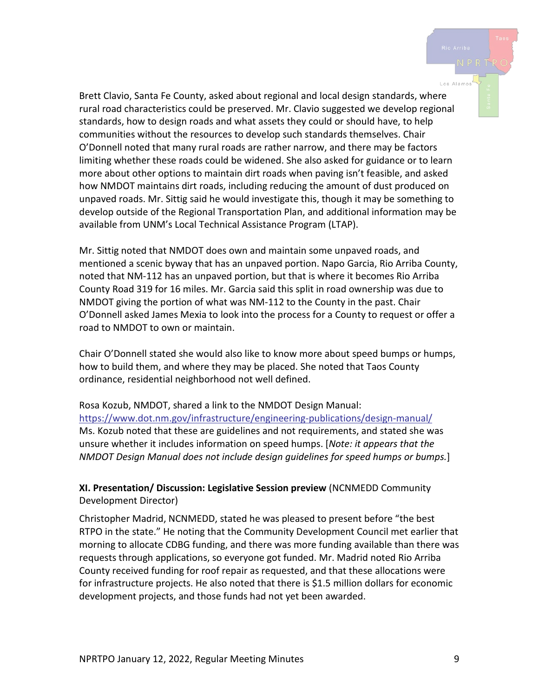Brett Clavio, Santa Fe County, asked about regional and local design standards, where rural road characteristics could be preserved. Mr. Clavio suggested we develop regional standards, how to design roads and what assets they could or should have, to help communities without the resources to develop such standards themselves. Chair O'Donnell noted that many rural roads are rather narrow, and there may be factors limiting whether these roads could be widened. She also asked for guidance or to learn more about other options to maintain dirt roads when paving isn't feasible, and asked how NMDOT maintains dirt roads, including reducing the amount of dust produced on unpaved roads. Mr. Sittig said he would investigate this, though it may be something to develop outside of the Regional Transportation Plan, and additional information may be available from UNM's Local Technical Assistance Program (LTAP).

Mr. Sittig noted that NMDOT does own and maintain some unpaved roads, and mentioned a scenic byway that has an unpaved portion. Napo Garcia, Rio Arriba County, noted that NM-112 has an unpaved portion, but that is where it becomes Rio Arriba County Road 319 for 16 miles. Mr. Garcia said this split in road ownership was due to NMDOT giving the portion of what was NM-112 to the County in the past. Chair O'Donnell asked James Mexia to look into the process for a County to request or offer a road to NMDOT to own or maintain.

Chair O'Donnell stated she would also like to know more about speed bumps or humps, how to build them, and where they may be placed. She noted that Taos County ordinance, residential neighborhood not well defined.

Rosa Kozub, NMDOT, shared a link to the NMDOT Design Manual: <https://www.dot.nm.gov/infrastructure/engineering-publications/design-manual/> Ms. Kozub noted that these are guidelines and not requirements, and stated she was unsure whether it includes information on speed humps. [*Note: it appears that the NMDOT Design Manual does not include design guidelines for speed humps or bumps.*]

**XI. Presentation/ Discussion: Legislative Session preview** (NCNMEDD Community Development Director)

Christopher Madrid, NCNMEDD, stated he was pleased to present before "the best RTPO in the state." He noting that the Community Development Council met earlier that morning to allocate CDBG funding, and there was more funding available than there was requests through applications, so everyone got funded. Mr. Madrid noted Rio Arriba County received funding for roof repair as requested, and that these allocations were for infrastructure projects. He also noted that there is \$1.5 million dollars for economic development projects, and those funds had not yet been awarded.

Los Alamo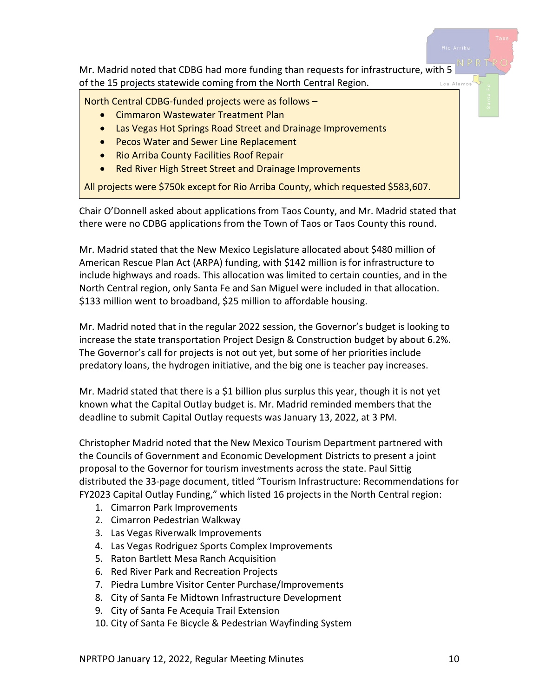

Chair O'Donnell asked about applications from Taos County, and Mr. Madrid stated that there were no CDBG applications from the Town of Taos or Taos County this round.

Mr. Madrid stated that the New Mexico Legislature allocated about \$480 million of American Rescue Plan Act (ARPA) funding, with \$142 million is for infrastructure to include highways and roads. This allocation was limited to certain counties, and in the North Central region, only Santa Fe and San Miguel were included in that allocation. \$133 million went to broadband, \$25 million to affordable housing.

Mr. Madrid noted that in the regular 2022 session, the Governor's budget is looking to increase the state transportation Project Design & Construction budget by about 6.2%. The Governor's call for projects is not out yet, but some of her priorities include predatory loans, the hydrogen initiative, and the big one is teacher pay increases.

Mr. Madrid stated that there is a \$1 billion plus surplus this year, though it is not yet known what the Capital Outlay budget is. Mr. Madrid reminded members that the deadline to submit Capital Outlay requests was January 13, 2022, at 3 PM.

Christopher Madrid noted that the New Mexico Tourism Department partnered with the Councils of Government and Economic Development Districts to present a joint proposal to the Governor for tourism investments across the state. Paul Sittig distributed the 33-page document, titled "Tourism Infrastructure: Recommendations for FY2023 Capital Outlay Funding," which listed 16 projects in the North Central region:

- 1. Cimarron Park Improvements
- 2. Cimarron Pedestrian Walkway
- 3. Las Vegas Riverwalk Improvements
- 4. Las Vegas Rodriguez Sports Complex Improvements
- 5. Raton Bartlett Mesa Ranch Acquisition
- 6. Red River Park and Recreation Projects
- 7. Piedra Lumbre Visitor Center Purchase/Improvements
- 8. City of Santa Fe Midtown Infrastructure Development
- 9. City of Santa Fe Acequia Trail Extension
- 10. City of Santa Fe Bicycle & Pedestrian Wayfinding System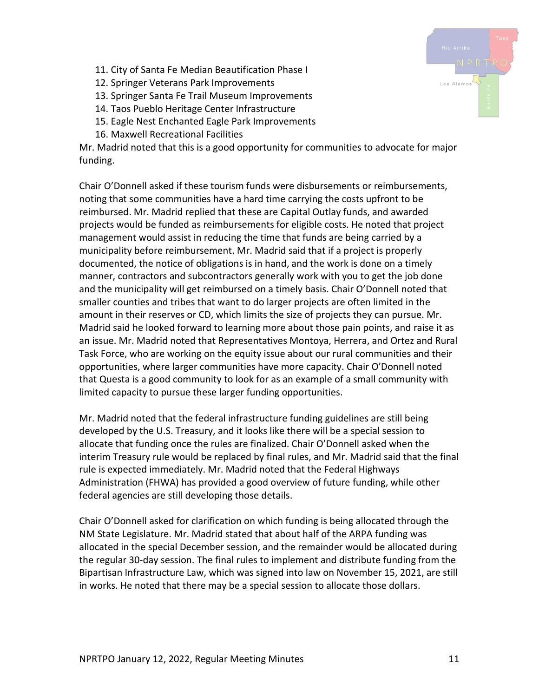- 11. City of Santa Fe Median Beautification Phase I
- 12. Springer Veterans Park Improvements
- 13. Springer Santa Fe Trail Museum Improvements
- 14. Taos Pueblo Heritage Center Infrastructure
- 15. Eagle Nest Enchanted Eagle Park Improvements
- 16. Maxwell Recreational Facilities

Mr. Madrid noted that this is a good opportunity for communities to advocate for major funding.

Chair O'Donnell asked if these tourism funds were disbursements or reimbursements, noting that some communities have a hard time carrying the costs upfront to be reimbursed. Mr. Madrid replied that these are Capital Outlay funds, and awarded projects would be funded as reimbursements for eligible costs. He noted that project management would assist in reducing the time that funds are being carried by a municipality before reimbursement. Mr. Madrid said that if a project is properly documented, the notice of obligations is in hand, and the work is done on a timely manner, contractors and subcontractors generally work with you to get the job done and the municipality will get reimbursed on a timely basis. Chair O'Donnell noted that smaller counties and tribes that want to do larger projects are often limited in the amount in their reserves or CD, which limits the size of projects they can pursue. Mr. Madrid said he looked forward to learning more about those pain points, and raise it as an issue. Mr. Madrid noted that Representatives Montoya, Herrera, and Ortez and Rural Task Force, who are working on the equity issue about our rural communities and their opportunities, where larger communities have more capacity. Chair O'Donnell noted that Questa is a good community to look for as an example of a small community with limited capacity to pursue these larger funding opportunities.

Mr. Madrid noted that the federal infrastructure funding guidelines are still being developed by the U.S. Treasury, and it looks like there will be a special session to allocate that funding once the rules are finalized. Chair O'Donnell asked when the interim Treasury rule would be replaced by final rules, and Mr. Madrid said that the final rule is expected immediately. Mr. Madrid noted that the Federal Highways Administration (FHWA) has provided a good overview of future funding, while other federal agencies are still developing those details.

Chair O'Donnell asked for clarification on which funding is being allocated through the NM State Legislature. Mr. Madrid stated that about half of the ARPA funding was allocated in the special December session, and the remainder would be allocated during the regular 30-day session. The final rules to implement and distribute funding from the Bipartisan Infrastructure Law, which was signed into law on November 15, 2021, are still in works. He noted that there may be a special session to allocate those dollars.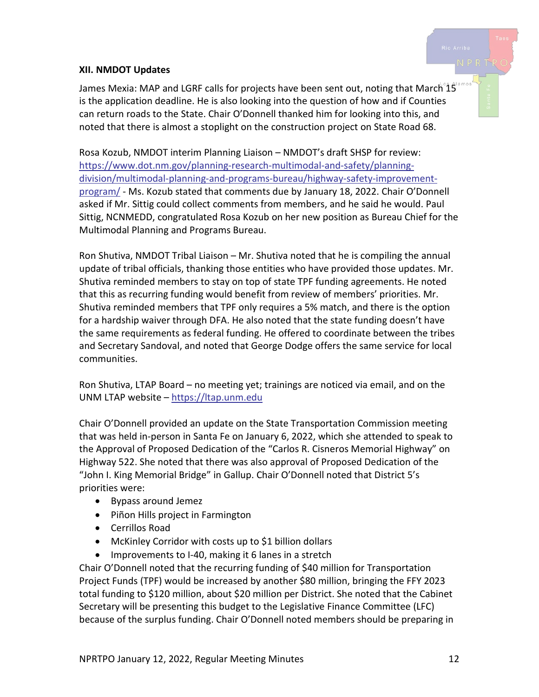#### **XII. NMDOT Updates**

James Mexia: MAP and LGRF calls for projects have been sent out, noting that March 15 is the application deadline. He is also looking into the question of how and if Counties can return roads to the State. Chair O'Donnell thanked him for looking into this, and noted that there is almost a stoplight on the construction project on State Road 68.

Rosa Kozub, NMDOT interim Planning Liaison – NMDOT's draft SHSP for review: [https://www.dot.nm.gov/planning-research-multimodal-and-safety/planning](https://www.dot.nm.gov/planning-research-multimodal-and-safety/planning-division/multimodal-planning-and-programs-bureau/highway-safety-improvement-program/)[division/multimodal-planning-and-programs-bureau/highway-safety-improvement](https://www.dot.nm.gov/planning-research-multimodal-and-safety/planning-division/multimodal-planning-and-programs-bureau/highway-safety-improvement-program/)[program/](https://www.dot.nm.gov/planning-research-multimodal-and-safety/planning-division/multimodal-planning-and-programs-bureau/highway-safety-improvement-program/) - Ms. Kozub stated that comments due by January 18, 2022. Chair O'Donnell asked if Mr. Sittig could collect comments from members, and he said he would. Paul Sittig, NCNMEDD, congratulated Rosa Kozub on her new position as Bureau Chief for the Multimodal Planning and Programs Bureau.

Ron Shutiva, NMDOT Tribal Liaison – Mr. Shutiva noted that he is compiling the annual update of tribal officials, thanking those entities who have provided those updates. Mr. Shutiva reminded members to stay on top of state TPF funding agreements. He noted that this as recurring funding would benefit from review of members' priorities. Mr. Shutiva reminded members that TPF only requires a 5% match, and there is the option for a hardship waiver through DFA. He also noted that the state funding doesn't have the same requirements as federal funding. He offered to coordinate between the tribes and Secretary Sandoval, and noted that George Dodge offers the same service for local communities.

Ron Shutiva, LTAP Board – no meeting yet; trainings are noticed via email, and on the UNM LTAP website – [https://ltap.unm.edu](https://ltap.unm.edu/)

Chair O'Donnell provided an update on the State Transportation Commission meeting that was held in-person in Santa Fe on January 6, 2022, which she attended to speak to the Approval of Proposed Dedication of the "Carlos R. Cisneros Memorial Highway" on Highway 522. She noted that there was also approval of Proposed Dedication of the "John I. King Memorial Bridge" in Gallup. Chair O'Donnell noted that District 5's priorities were:

- Bypass around Jemez
- Piñon Hills project in Farmington
- Cerrillos Road
- McKinley Corridor with costs up to \$1 billion dollars
- Improvements to I-40, making it 6 lanes in a stretch

Chair O'Donnell noted that the recurring funding of \$40 million for Transportation Project Funds (TPF) would be increased by another \$80 million, bringing the FFY 2023 total funding to \$120 million, about \$20 million per District. She noted that the Cabinet Secretary will be presenting this budget to the Legislative Finance Committee (LFC) because of the surplus funding. Chair O'Donnell noted members should be preparing in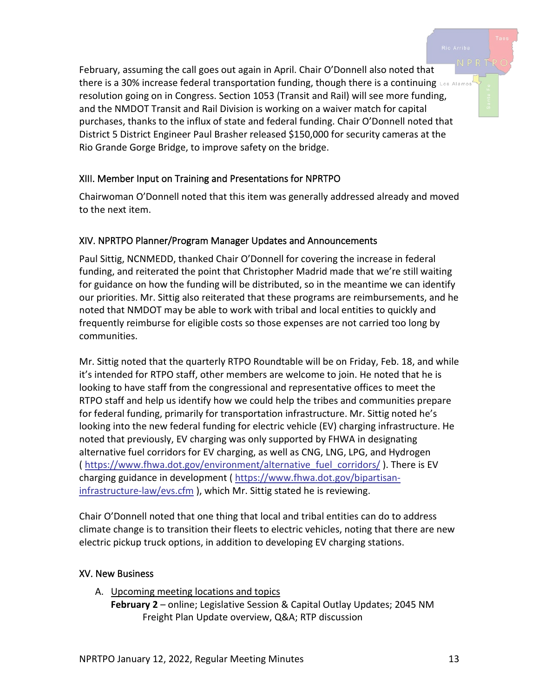February, assuming the call goes out again in April. Chair O'Donnell also noted that there is a 30% increase federal transportation funding, though there is a continuing Los Alamos resolution going on in Congress. Section 1053 (Transit and Rail) will see more funding, and the NMDOT Transit and Rail Division is working on a waiver match for capital purchases, thanks to the influx of state and federal funding. Chair O'Donnell noted that District 5 District Engineer Paul Brasher released \$150,000 for security cameras at the Rio Grande Gorge Bridge, to improve safety on the bridge.

## XIII. Member Input on Training and Presentations for NPRTPO

Chairwoman O'Donnell noted that this item was generally addressed already and moved to the next item.

## XIV. NPRTPO Planner/Program Manager Updates and Announcements

Paul Sittig, NCNMEDD, thanked Chair O'Donnell for covering the increase in federal funding, and reiterated the point that Christopher Madrid made that we're still waiting for guidance on how the funding will be distributed, so in the meantime we can identify our priorities. Mr. Sittig also reiterated that these programs are reimbursements, and he noted that NMDOT may be able to work with tribal and local entities to quickly and frequently reimburse for eligible costs so those expenses are not carried too long by communities.

Mr. Sittig noted that the quarterly RTPO Roundtable will be on Friday, Feb. 18, and while it's intended for RTPO staff, other members are welcome to join. He noted that he is looking to have staff from the congressional and representative offices to meet the RTPO staff and help us identify how we could help the tribes and communities prepare for federal funding, primarily for transportation infrastructure. Mr. Sittig noted he's looking into the new federal funding for electric vehicle (EV) charging infrastructure. He noted that previously, EV charging was only supported by FHWA in designating alternative fuel corridors for EV charging, as well as CNG, LNG, LPG, and Hydrogen ( [https://www.fhwa.dot.gov/environment/alternative\\_fuel\\_corridors/](https://www.fhwa.dot.gov/environment/alternative_fuel_corridors/) ). There is EV charging guidance in development ( [https://www.fhwa.dot.gov/bipartisan](https://www.fhwa.dot.gov/bipartisan-infrastructure-law/evs.cfm)[infrastructure-law/evs.cfm](https://www.fhwa.dot.gov/bipartisan-infrastructure-law/evs.cfm)), which Mr. Sittig stated he is reviewing.

Chair O'Donnell noted that one thing that local and tribal entities can do to address climate change is to transition their fleets to electric vehicles, noting that there are new electric pickup truck options, in addition to developing EV charging stations.

#### XV. New Business

A. Upcoming meeting locations and topics

**February 2** – online; Legislative Session & Capital Outlay Updates; 2045 NM Freight Plan Update overview, Q&A; RTP discussion